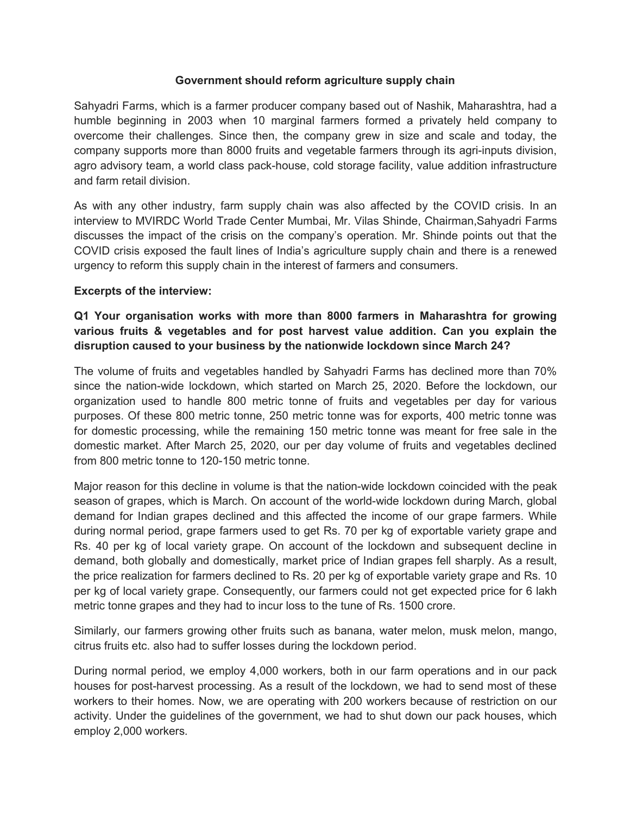### **Government should reform agriculture supply chain**

Sahyadri Farms, which is a farmer producer company based out of Nashik, Maharashtra, had a humble beginning in 2003 when 10 marginal farmers formed a privately held company to overcome their challenges. Since then, the company grew in size and scale and today, the company supports more than 8000 fruits and vegetable farmers through its agri-inputs division, agro advisory team, a world class pack-house, cold storage facility, value addition infrastructure and farm retail division.

As with any other industry, farm supply chain was also affected by the COVID crisis. In an interview to MVIRDC World Trade Center Mumbai, Mr. Vilas Shinde, Chairman,Sahyadri Farms discusses the impact of the crisis on the company's operation. Mr. Shinde points out that the COVID crisis exposed the fault lines of India's agriculture supply chain and there is a renewed urgency to reform this supply chain in the interest of farmers and consumers.

#### **Excerpts of the interview:**

## **Q1 Your organisation works with more than 8000 farmers in Maharashtra for growing various fruits & vegetables and for post harvest value addition. Can you explain the disruption caused to your business by the nationwide lockdown since March 24?**

The volume of fruits and vegetables handled by Sahyadri Farms has declined more than 70% since the nation-wide lockdown, which started on March 25, 2020. Before the lockdown, our organization used to handle 800 metric tonne of fruits and vegetables per day for various purposes. Of these 800 metric tonne, 250 metric tonne was for exports, 400 metric tonne was for domestic processing, while the remaining 150 metric tonne was meant for free sale in the domestic market. After March 25, 2020, our per day volume of fruits and vegetables declined from 800 metric tonne to 120-150 metric tonne.

Major reason for this decline in volume is that the nation-wide lockdown coincided with the peak season of grapes, which is March. On account of the world-wide lockdown during March, global demand for Indian grapes declined and this affected the income of our grape farmers. While during normal period, grape farmers used to get Rs. 70 per kg of exportable variety grape and Rs. 40 per kg of local variety grape. On account of the lockdown and subsequent decline in demand, both globally and domestically, market price of Indian grapes fell sharply. As a result, the price realization for farmers declined to Rs. 20 per kg of exportable variety grape and Rs. 10 per kg of local variety grape. Consequently, our farmers could not get expected price for 6 lakh metric tonne grapes and they had to incur loss to the tune of Rs. 1500 crore.

Similarly, our farmers growing other fruits such as banana, water melon, musk melon, mango, citrus fruits etc. also had to suffer losses during the lockdown period.

During normal period, we employ 4,000 workers, both in our farm operations and in our pack houses for post-harvest processing. As a result of the lockdown, we had to send most of these workers to their homes. Now, we are operating with 200 workers because of restriction on our activity. Under the guidelines of the government, we had to shut down our pack houses, which employ 2,000 workers.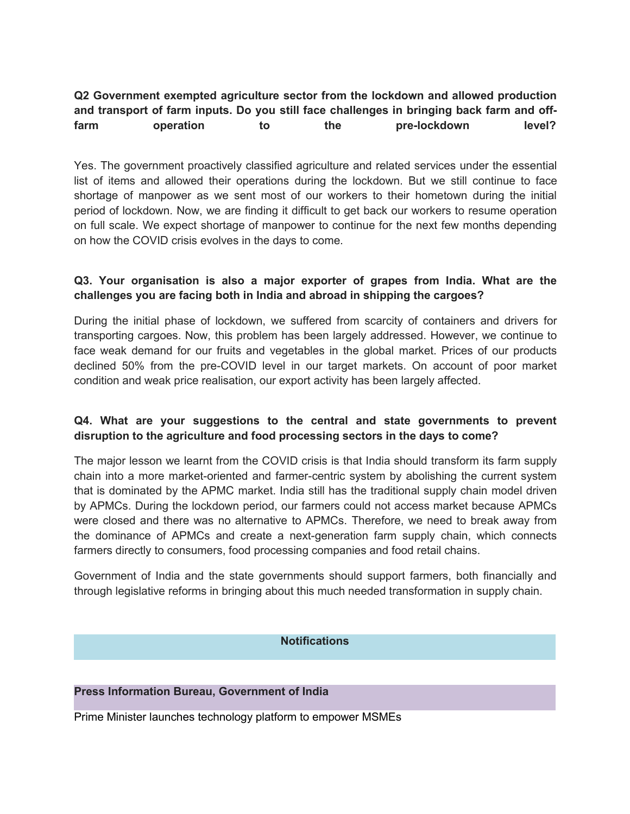# **Q2 Government exempted agriculture sector from the lockdown and allowed production and transport of farm inputs. Doyou still face challenges in bringing back farm and offfarm operation to the pre-lockdown level?**

Yes. The government proactively classified agriculture and related services under the essential list of items and allowed their operations during the lockdown. But we still continue to face shortage of manpower as we sent most of our workers to their hometown during the initial period of lockdown. Now, we are finding it difficult to get back our workers to resume operation on full scale. We expect shortage of manpower to continue for the next few months depending on how the COVID crisis evolves in the days to come.

# **Q3. Your organisation is also a major exporter of grapes from India. What are the challenges you are facing both in India and abroad in shipping the cargoes?**

During the initial phase of lockdown, we suffered from scarcity of containers and drivers for transporting cargoes. Now, this problem has been largely addressed. However, we continue to face weak demand for our fruits and vegetables in the global market. Prices of our products declined 50% from the pre-COVID level in our target markets. On account of poor market condition and weak price realisation, our export activity has been largely affected.

### **Q4. What are your suggestions to the central and state governments to prevent disruption to the agriculture and food processing sectors in the days to come?**

The major lesson we learnt from the COVID crisis is that India should transform its farm supply chain into a more market-oriented and farmer-centric system by abolishing the current system that is dominated by the APMC market. India still has the traditional supply chain model driven by APMCs. During the lockdown period, our farmers could not access market because APMCs were closed and there was no alternative to APMCs. Therefore, we need to break away from the dominance of APMCs and create a next-generation farm supply chain, which connects farmers directly to consumers, food processing companies and food retail chains.

Government of India and the state governments should support farmers, both financially and through legislative reforms in bringing about this much needed transformation in supply chain.

### **Notifications**

#### **Press Information Bureau, Government of India**

Prime Minister launches technology platform to empower MSMEs